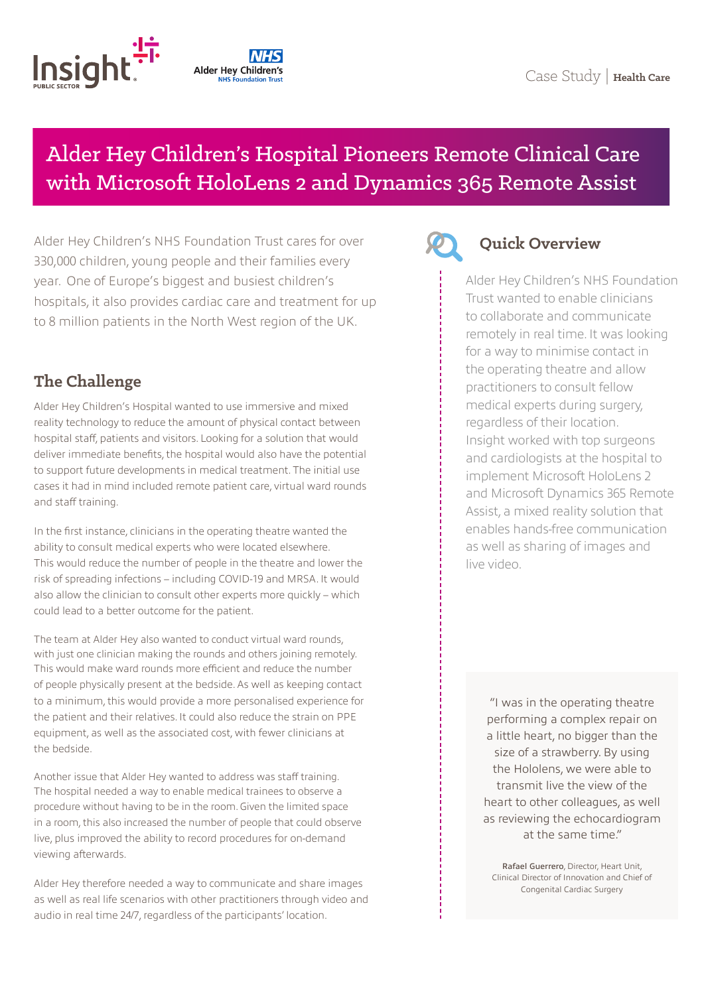

# **Alder Hey Children's**

## Alder Hey Children's Hospital Pioneers Remote Clinical Care with Microsoft HoloLens 2 and Dynamics 365 Remote Assist

Alder Hey Children's NHS Foundation Trust cares for over 330,000 children, young people and their families every year. One of Europe's biggest and busiest children's hospitals, it also provides cardiac care and treatment for up to 8 million patients in the North West region of the UK.

### **The Challenge**

Alder Hey Children's Hospital wanted to use immersive and mixed reality technology to reduce the amount of physical contact between hospital staff, patients and visitors. Looking for a solution that would deliver immediate benefits, the hospital would also have the potential to support future developments in medical treatment. The initial use cases it had in mind included remote patient care, virtual ward rounds and staff training.

In the first instance, clinicians in the operating theatre wanted the ability to consult medical experts who were located elsewhere. This would reduce the number of people in the theatre and lower the risk of spreading infections – including COVID-19 and MRSA. It would also allow the clinician to consult other experts more quickly – which could lead to a better outcome for the patient.

The team at Alder Hey also wanted to conduct virtual ward rounds, with just one clinician making the rounds and others joining remotely. This would make ward rounds more efficient and reduce the number of people physically present at the bedside. As well as keeping contact to a minimum, this would provide a more personalised experience for the patient and their relatives. It could also reduce the strain on PPE equipment, as well as the associated cost, with fewer clinicians at the bedside.

Another issue that Alder Hey wanted to address was staff training. The hospital needed a way to enable medical trainees to observe a procedure without having to be in the room. Given the limited space in a room, this also increased the number of people that could observe live, plus improved the ability to record procedures for on-demand viewing afterwards.

Alder Hey therefore needed a way to communicate and share images as well as real life scenarios with other practitioners through video and audio in real time 24/7, regardless of the participants' location.



#### **Quick Overview**

Alder Hey Children's NHS Foundation Trust wanted to enable clinicians to collaborate and communicate remotely in real time. It was looking for a way to minimise contact in the operating theatre and allow practitioners to consult fellow medical experts during surgery, regardless of their location. Insight worked with top surgeons and cardiologists at the hospital to implement Microsoft HoloLens 2 and Microsoft Dynamics 365 Remote Assist, a mixed reality solution that enables hands-free communication as well as sharing of images and live video.

"I was in the operating theatre performing a complex repair on a little heart, no bigger than the size of a strawberry. By using the Hololens, we were able to transmit live the view of the heart to other colleagues, as well as reviewing the echocardiogram at the same time."

Rafael Guerrero, Director, Heart Unit, Clinical Director of Innovation and Chief of Congenital Cardiac Surgery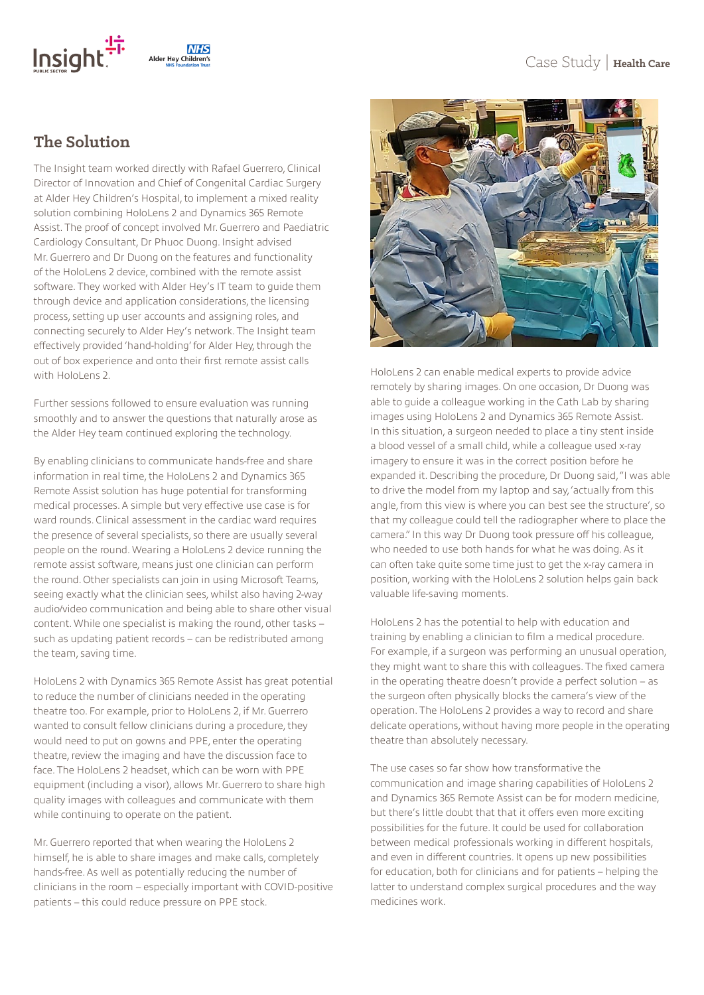

#### **The Solution**

The Insight team worked directly with Rafael Guerrero, Clinical Director of Innovation and Chief of Congenital Cardiac Surgery at Alder Hey Children's Hospital, to implement a mixed reality solution combining HoloLens 2 and Dynamics 365 Remote Assist. The proof of concept involved Mr. Guerrero and Paediatric Cardiology Consultant, Dr Phuoc Duong. Insight advised Mr. Guerrero and Dr Duong on the features and functionality of the HoloLens 2 device, combined with the remote assist software. They worked with Alder Hey's IT team to guide them through device and application considerations, the licensing process, setting up user accounts and assigning roles, and connecting securely to Alder Hey's network. The Insight team effectively provided 'hand-holding' for Alder Hey, through the out of box experience and onto their first remote assist calls with HoloLens 2.

Further sessions followed to ensure evaluation was running smoothly and to answer the questions that naturally arose as the Alder Hey team continued exploring the technology.

By enabling clinicians to communicate hands-free and share information in real time, the HoloLens 2 and Dynamics 365 Remote Assist solution has huge potential for transforming medical processes. A simple but very effective use case is for ward rounds. Clinical assessment in the cardiac ward requires the presence of several specialists, so there are usually several people on the round. Wearing a HoloLens 2 device running the remote assist software, means just one clinician can perform the round. Other specialists can join in using Microsoft Teams, seeing exactly what the clinician sees, whilst also having 2-way audio/video communication and being able to share other visual content. While one specialist is making the round, other tasks – such as updating patient records – can be redistributed among the team, saving time.

HoloLens 2 with Dynamics 365 Remote Assist has great potential to reduce the number of clinicians needed in the operating theatre too. For example, prior to HoloLens 2, if Mr. Guerrero wanted to consult fellow clinicians during a procedure, they would need to put on gowns and PPE, enter the operating theatre, review the imaging and have the discussion face to face. The HoloLens 2 headset, which can be worn with PPE equipment (including a visor), allows Mr. Guerrero to share high quality images with colleagues and communicate with them while continuing to operate on the patient.

Mr. Guerrero reported that when wearing the HoloLens 2 himself, he is able to share images and make calls, completely hands-free. As well as potentially reducing the number of clinicians in the room – especially important with COVID-positive patients – this could reduce pressure on PPE stock.



HoloLens 2 can enable medical experts to provide advice remotely by sharing images. On one occasion, Dr Duong was able to guide a colleague working in the Cath Lab by sharing images using HoloLens 2 and Dynamics 365 Remote Assist. In this situation, a surgeon needed to place a tiny stent inside a blood vessel of a small child, while a colleague used x-ray imagery to ensure it was in the correct position before he expanded it. Describing the procedure, Dr Duong said, "I was able to drive the model from my laptop and say, 'actually from this angle, from this view is where you can best see the structure', so that my colleague could tell the radiographer where to place the camera." In this way Dr Duong took pressure off his colleague, who needed to use both hands for what he was doing. As it can often take quite some time just to get the x-ray camera in position, working with the HoloLens 2 solution helps gain back valuable life-saving moments.

HoloLens 2 has the potential to help with education and training by enabling a clinician to film a medical procedure. For example, if a surgeon was performing an unusual operation, they might want to share this with colleagues. The fixed camera in the operating theatre doesn't provide a perfect solution – as the surgeon often physically blocks the camera's view of the operation. The HoloLens 2 provides a way to record and share delicate operations, without having more people in the operating theatre than absolutely necessary.

The use cases so far show how transformative the communication and image sharing capabilities of HoloLens 2 and Dynamics 365 Remote Assist can be for modern medicine, but there's little doubt that that it offers even more exciting possibilities for the future. It could be used for collaboration between medical professionals working in different hospitals, and even in different countries. It opens up new possibilities for education, both for clinicians and for patients – helping the latter to understand complex surgical procedures and the way medicines work.